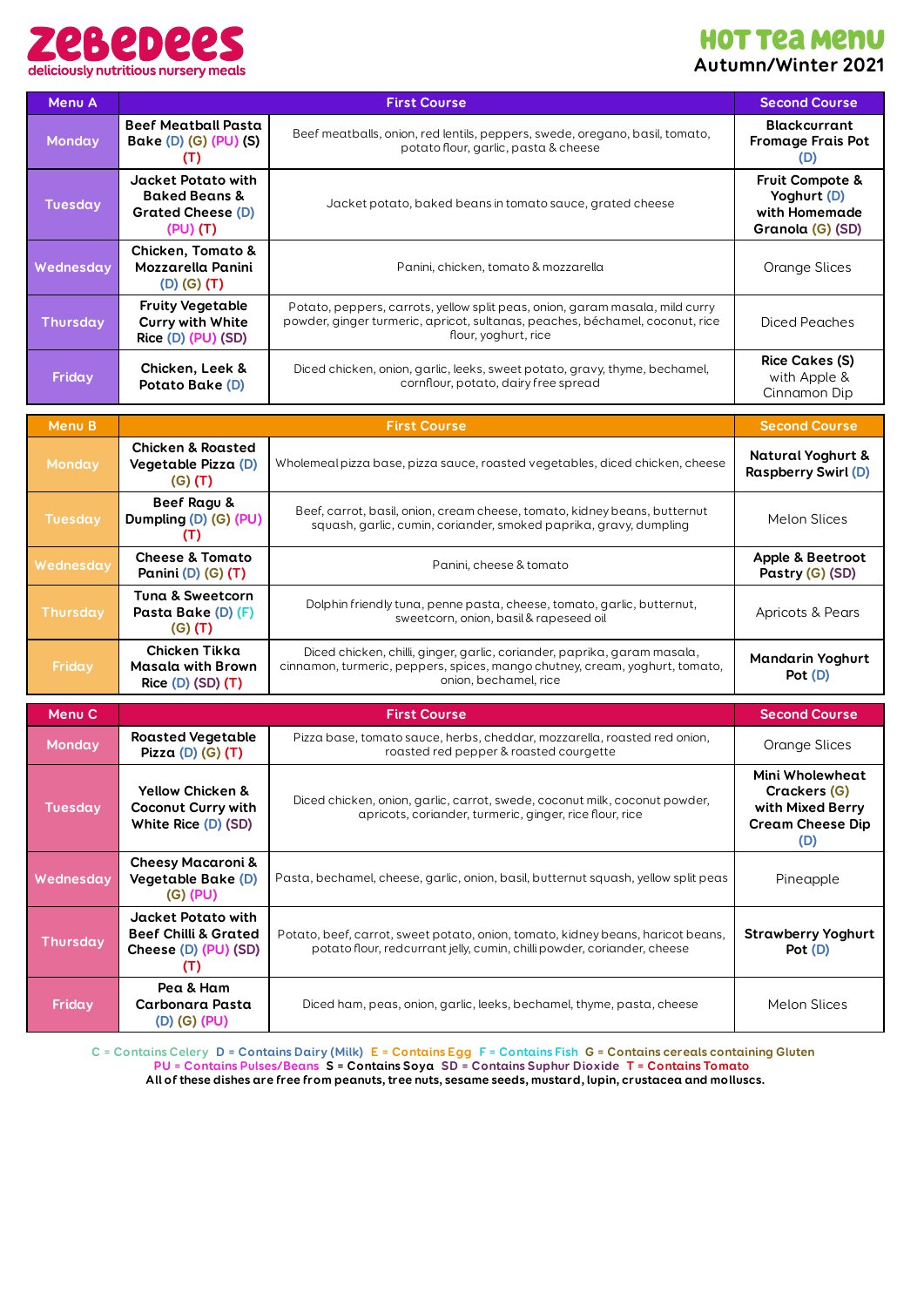

## **HOT TEA MENU Autumn/Winter 2021**

| Menu A            |                                                                                               | <b>First Course</b>                                                                                                                                                                  | <b>Second Course</b>                                                                         |  |  |  |  |
|-------------------|-----------------------------------------------------------------------------------------------|--------------------------------------------------------------------------------------------------------------------------------------------------------------------------------------|----------------------------------------------------------------------------------------------|--|--|--|--|
| Monday            | <b>Beef Meatball Pasta</b><br>Bake (D) (G) (PU) (S)<br>(T)                                    | Beef meatballs, onion, red lentils, peppers, swede, oregano, basil, tomato,<br>potato flour, garlic, pasta & cheese                                                                  |                                                                                              |  |  |  |  |
| <b>Tuesday</b>    | <b>Jacket Potato with</b><br><b>Baked Beans &amp;</b><br><b>Grated Cheese (D)</b><br>(PU) (T) | Jacket potato, baked beans in tomato sauce, grated cheese                                                                                                                            | Fruit Compote &<br>Yoghurt (D)<br>with Homemade<br>Granola (G) (SD)                          |  |  |  |  |
| Wednesday         | <b>Chicken, Tomato &amp;</b><br>Mozzarella Panini<br>(D) (G) (T)                              | Orange Slices                                                                                                                                                                        |                                                                                              |  |  |  |  |
| Thursday          | <b>Fruity Vegetable</b><br><b>Curry with White</b><br>Rice (D) (PU) (SD)                      | Potato, peppers, carrots, yellow split peas, onion, garam masala, mild curry<br>powder, ginger turmeric, apricot, sultanas, peaches, béchamel, coconut, rice<br>flour, yoghurt, rice |                                                                                              |  |  |  |  |
| Friday            | Chicken, Leek &<br><b>Potato Bake (D)</b>                                                     | <b>Rice Cakes (S)</b><br>with Apple &<br>Cinnamon Dip                                                                                                                                |                                                                                              |  |  |  |  |
| <b>Menu B</b>     |                                                                                               | <b>First Course</b>                                                                                                                                                                  | <b>Second Course</b>                                                                         |  |  |  |  |
| Monday            | <b>Chicken &amp; Roasted</b><br>Vegetable Pizza (D)<br>$(G)$ (T)                              | <b>Natural Yoghurt &amp;</b><br><b>Raspberry Swirl (D)</b>                                                                                                                           |                                                                                              |  |  |  |  |
| <b>Tuesday</b>    | <b>Beef Ragu &amp;</b><br>Dumpling (D) (G) (PU)<br>(T)                                        | Beef, carrot, basil, onion, cream cheese, tomato, kidney beans, butternut<br>squash, garlic, cumin, coriander, smoked paprika, gravy, dumpling                                       | <b>Melon Slices</b>                                                                          |  |  |  |  |
| Wednesdav         | <b>Cheese &amp; Tomato</b><br>Panini (D) (G) (T)                                              | Panini, cheese & tomato                                                                                                                                                              | Apple & Beetroot<br>Pastry (G) (SD)                                                          |  |  |  |  |
| <b>Thursday</b>   | <b>Tuna &amp; Sweetcorn</b><br>Pasta Bake (D) (F)<br>$(G)$ $(T)$                              | Dolphin friendly tuna, penne pasta, cheese, tomato, garlic, butternut,<br>sweetcorn, onion, basil & rapeseed oil                                                                     |                                                                                              |  |  |  |  |
| Friday            | Chicken Tikka<br><b>Masala with Brown</b><br>Rice (D) (SD) (T)                                | Diced chicken, chilli, ginger, garlic, coriander, paprika, garam masala,<br>cinnamon, turmeric, peppers, spices, mango chutney, cream, yoghurt, tomato,<br>onion, bechamel, rice     |                                                                                              |  |  |  |  |
| Menu <sub>C</sub> |                                                                                               | <b>First Course</b>                                                                                                                                                                  | <b>Second Course</b>                                                                         |  |  |  |  |
| Monday            | <b>Roasted Vegetable</b><br>Pizza (D) (G) (T)                                                 | Pizza base, tomato sauce, herbs, cheddar, mozzarella, roasted red onion,<br>roasted red pepper & roasted courgette                                                                   | Orange Slices                                                                                |  |  |  |  |
| <b>Tuesday</b>    | Yellow Chicken &<br>Coconut Curry with<br>White Rice (D) (SD)                                 | Diced chicken, onion, garlic, carrot, swede, coconut milk, coconut powder,<br>apricots, coriander, turmeric, ginger, rice flour, rice                                                | Mini Wholewheat<br><b>Crackers (G)</b><br>with Mixed Berry<br><b>Cream Cheese Dip</b><br>(D) |  |  |  |  |
| Wednesday         | <b>Cheesy Macaroni &amp;</b><br><b>Vegetable Bake (D)</b><br>(G) (PU)                         | Pasta, bechamel, cheese, garlic, onion, basil, butternut squash, yellow split peas                                                                                                   |                                                                                              |  |  |  |  |
| Thursday          | <b>Jacket Potato with</b><br><b>Beef Chilli &amp; Grated</b><br>Cheese (D) (PU) (SD)<br>(T)   | Potato, beef, carrot, sweet potato, onion, tomato, kidney beans, haricot beans,<br>potato flour, redcurrant jelly, cumin, chilli powder, coriander, cheese                           | <b>Strawberry Yoghurt</b><br>Pot (D)                                                         |  |  |  |  |
| Friday            | Pea & Ham<br>Carbonara Pasta<br>(D) (G) (PU)                                                  | Diced ham, peas, onion, garlic, leeks, bechamel, thyme, pasta, cheese                                                                                                                | <b>Melon Slices</b>                                                                          |  |  |  |  |

C = Contains Celery D = Contains Dairy (Milk) E = Contains Egg F = Contains Fish G = Contains cereals containing Gluten **PU = Contains Pulses/Beans S = Contains Soya SD = Contains Suphur Dioxide T = Contains Tomato** All of these dishes are free from peanuts, tree nuts, sesame seeds, mustard, lupin, crustacea and molluscs.